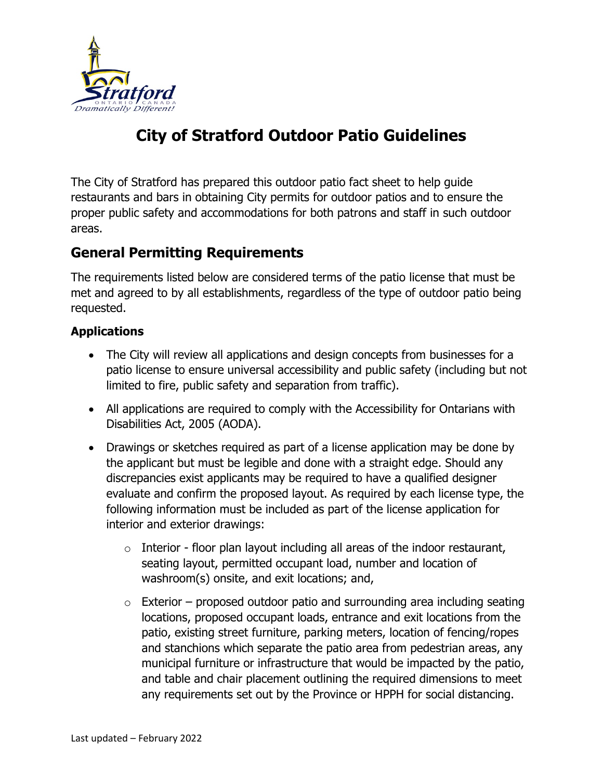

# **City of Stratford Outdoor Patio Guidelines**

The City of Stratford has prepared this outdoor patio fact sheet to help guide restaurants and bars in obtaining City permits for outdoor patios and to ensure the proper public safety and accommodations for both patrons and staff in such outdoor areas.

# **General Permitting Requirements**

The requirements listed below are considered terms of the patio license that must be met and agreed to by all establishments, regardless of the type of outdoor patio being requested.

#### **Applications**

- The City will review all applications and design concepts from businesses for a patio license to ensure universal accessibility and public safety (including but not limited to fire, public safety and separation from traffic).
- All applications are required to comply with the Accessibility for Ontarians with Disabilities Act, 2005 (AODA).
- Drawings or sketches required as part of a license application may be done by the applicant but must be legible and done with a straight edge. Should any discrepancies exist applicants may be required to have a qualified designer evaluate and confirm the proposed layout. As required by each license type, the following information must be included as part of the license application for interior and exterior drawings:
	- $\circ$  Interior floor plan layout including all areas of the indoor restaurant, seating layout, permitted occupant load, number and location of washroom(s) onsite, and exit locations; and,
	- $\circ$  Exterior proposed outdoor patio and surrounding area including seating locations, proposed occupant loads, entrance and exit locations from the patio, existing street furniture, parking meters, location of fencing/ropes and stanchions which separate the patio area from pedestrian areas, any municipal furniture or infrastructure that would be impacted by the patio, and table and chair placement outlining the required dimensions to meet any requirements set out by the Province or HPPH for social distancing.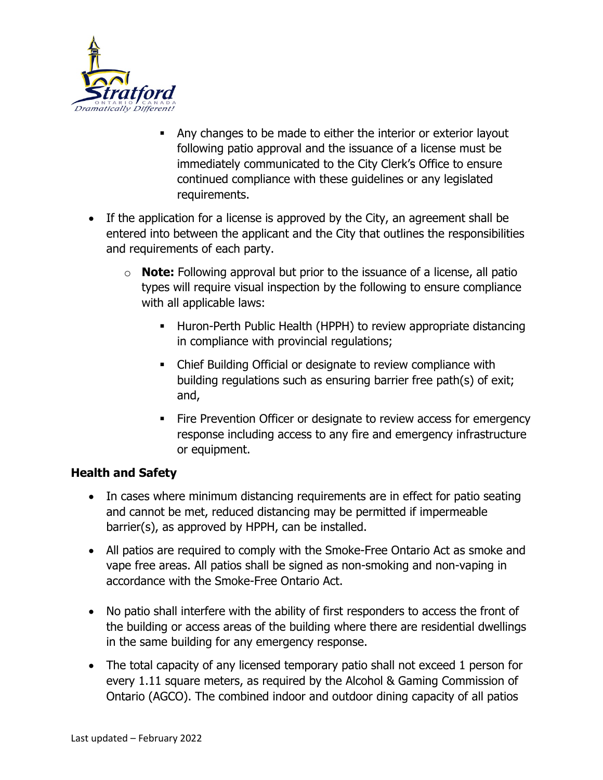

- Any changes to be made to either the interior or exterior layout following patio approval and the issuance of a license must be immediately communicated to the City Clerk's Office to ensure continued compliance with these guidelines or any legislated requirements.
- If the application for a license is approved by the City, an agreement shall be entered into between the applicant and the City that outlines the responsibilities and requirements of each party.
	- o **Note:** Following approval but prior to the issuance of a license, all patio types will require visual inspection by the following to ensure compliance with all applicable laws:
		- **Huron-Perth Public Health (HPPH) to review appropriate distancing** in compliance with provincial regulations;
		- Chief Building Official or designate to review compliance with building regulations such as ensuring barrier free path(s) of exit; and,
		- Fire Prevention Officer or designate to review access for emergency response including access to any fire and emergency infrastructure or equipment.

#### **Health and Safety**

- In cases where minimum distancing requirements are in effect for patio seating and cannot be met, reduced distancing may be permitted if impermeable barrier(s), as approved by HPPH, can be installed.
- All patios are required to comply with the Smoke-Free Ontario Act as smoke and vape free areas. All patios shall be signed as non-smoking and non-vaping in accordance with the Smoke-Free Ontario Act.
- No patio shall interfere with the ability of first responders to access the front of the building or access areas of the building where there are residential dwellings in the same building for any emergency response.
- The total capacity of any licensed temporary patio shall not exceed 1 person for every 1.11 square meters, as required by the Alcohol & Gaming Commission of Ontario (AGCO). The combined indoor and outdoor dining capacity of all patios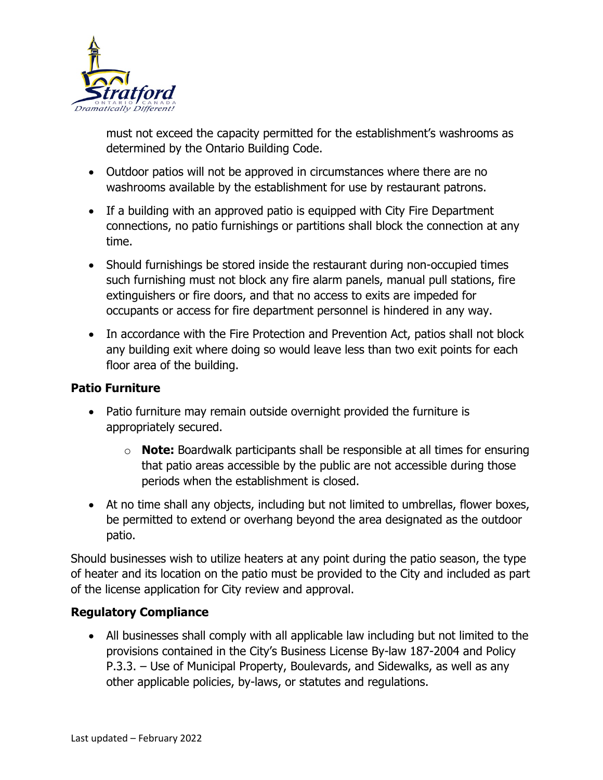

must not exceed the capacity permitted for the establishment's washrooms as determined by the Ontario Building Code.

- Outdoor patios will not be approved in circumstances where there are no washrooms available by the establishment for use by restaurant patrons.
- If a building with an approved patio is equipped with City Fire Department connections, no patio furnishings or partitions shall block the connection at any time.
- Should furnishings be stored inside the restaurant during non-occupied times such furnishing must not block any fire alarm panels, manual pull stations, fire extinguishers or fire doors, and that no access to exits are impeded for occupants or access for fire department personnel is hindered in any way.
- In accordance with the Fire Protection and Prevention Act, patios shall not block any building exit where doing so would leave less than two exit points for each floor area of the building.

### **Patio Furniture**

- Patio furniture may remain outside overnight provided the furniture is appropriately secured.
	- o **Note:** Boardwalk participants shall be responsible at all times for ensuring that patio areas accessible by the public are not accessible during those periods when the establishment is closed.
- At no time shall any objects, including but not limited to umbrellas, flower boxes, be permitted to extend or overhang beyond the area designated as the outdoor patio.

Should businesses wish to utilize heaters at any point during the patio season, the type of heater and its location on the patio must be provided to the City and included as part of the license application for City review and approval.

## **Regulatory Compliance**

• All businesses shall comply with all applicable law including but not limited to the provisions contained in the City's Business License By-law 187-2004 and Policy P.3.3. – Use of Municipal Property, Boulevards, and Sidewalks, as well as any other applicable policies, by-laws, or statutes and regulations.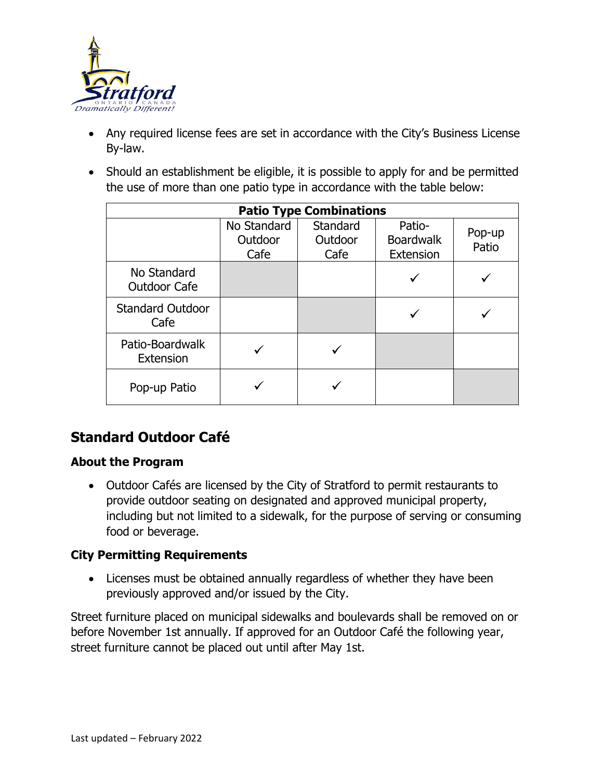

- Any required license fees are set in accordance with the City's Business License By-law.
- Should an establishment be eligible, it is possible to apply for and be permitted the use of more than one patio type in accordance with the table below:

| <b>Patio Type Combinations</b>     |                                |                             |                                         |                 |
|------------------------------------|--------------------------------|-----------------------------|-----------------------------------------|-----------------|
|                                    | No Standard<br>Outdoor<br>Cafe | Standard<br>Outdoor<br>Cafe | Patio-<br><b>Boardwalk</b><br>Extension | Pop-up<br>Patio |
| No Standard<br><b>Outdoor Cafe</b> |                                |                             |                                         |                 |
| <b>Standard Outdoor</b><br>Cafe    |                                |                             |                                         |                 |
| Patio-Boardwalk<br>Extension       |                                |                             |                                         |                 |
| Pop-up Patio                       |                                |                             |                                         |                 |

# **Standard Outdoor Café**

#### **About the Program**

• Outdoor Cafés are licensed by the City of Stratford to permit restaurants to provide outdoor seating on designated and approved municipal property, including but not limited to a sidewalk, for the purpose of serving or consuming food or beverage.

#### **City Permitting Requirements**

• Licenses must be obtained annually regardless of whether they have been previously approved and/or issued by the City.

Street furniture placed on municipal sidewalks and boulevards shall be removed on or before November 1st annually. If approved for an Outdoor Café the following year, street furniture cannot be placed out until after May 1st.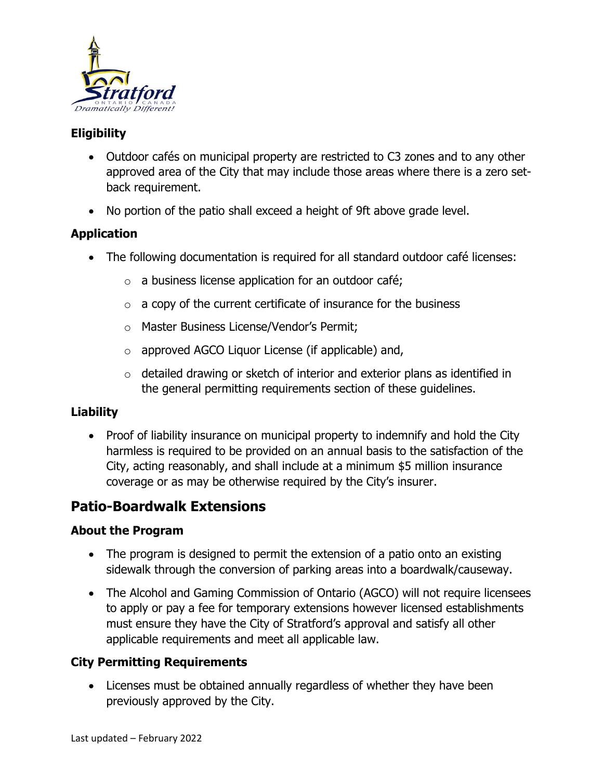

# **Eligibility**

- Outdoor cafés on municipal property are restricted to C3 zones and to any other approved area of the City that may include those areas where there is a zero setback requirement.
- No portion of the patio shall exceed a height of 9ft above grade level.

## **Application**

- The following documentation is required for all standard outdoor café licenses:
	- o a business license application for an outdoor café;
	- $\circ$  a copy of the current certificate of insurance for the business
	- o Master Business License/Vendor's Permit;
	- o approved AGCO Liquor License (if applicable) and,
	- o detailed drawing or sketch of interior and exterior plans as identified in the general permitting requirements section of these guidelines.

#### **Liability**

• Proof of liability insurance on municipal property to indemnify and hold the City harmless is required to be provided on an annual basis to the satisfaction of the City, acting reasonably, and shall include at a minimum \$5 million insurance coverage or as may be otherwise required by the City's insurer.

# **Patio-Boardwalk Extensions**

#### **About the Program**

- The program is designed to permit the extension of a patio onto an existing sidewalk through the conversion of parking areas into a boardwalk/causeway.
- The Alcohol and Gaming Commission of Ontario (AGCO) will not require licensees to apply or pay a fee for temporary extensions however licensed establishments must ensure they have the City of Stratford's approval and satisfy all other applicable requirements and meet all applicable law.

## **City Permitting Requirements**

• Licenses must be obtained annually regardless of whether they have been previously approved by the City.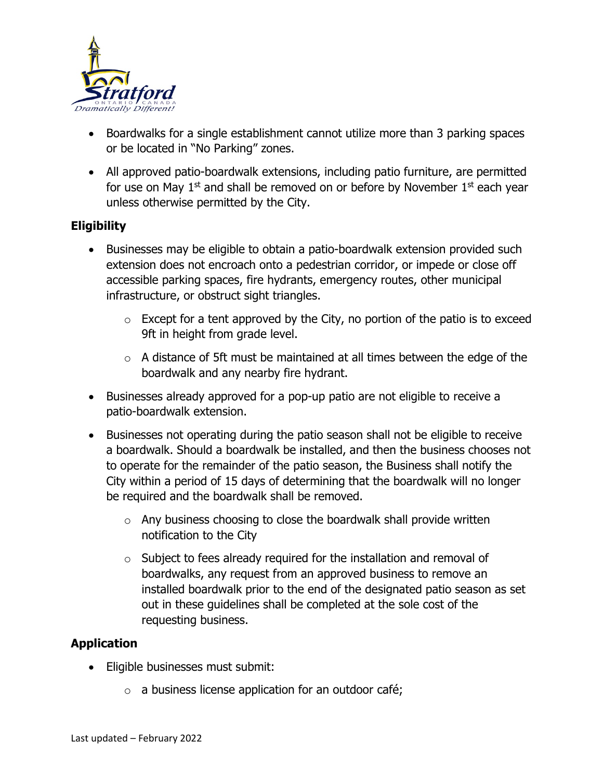

- Boardwalks for a single establishment cannot utilize more than 3 parking spaces or be located in "No Parking" zones.
- All approved patio-boardwalk extensions, including patio furniture, are permitted for use on May  $1<sup>st</sup>$  and shall be removed on or before by November  $1<sup>st</sup>$  each year unless otherwise permitted by the City.

#### **Eligibility**

- Businesses may be eligible to obtain a patio-boardwalk extension provided such extension does not encroach onto a pedestrian corridor, or impede or close off accessible parking spaces, fire hydrants, emergency routes, other municipal infrastructure, or obstruct sight triangles.
	- $\circ$  Except for a tent approved by the City, no portion of the patio is to exceed 9ft in height from grade level.
	- $\circ$  A distance of 5ft must be maintained at all times between the edge of the boardwalk and any nearby fire hydrant.
- Businesses already approved for a pop-up patio are not eligible to receive a patio-boardwalk extension.
- Businesses not operating during the patio season shall not be eligible to receive a boardwalk. Should a boardwalk be installed, and then the business chooses not to operate for the remainder of the patio season, the Business shall notify the City within a period of 15 days of determining that the boardwalk will no longer be required and the boardwalk shall be removed.
	- $\circ$  Any business choosing to close the boardwalk shall provide written notification to the City
	- $\circ$  Subject to fees already required for the installation and removal of boardwalks, any request from an approved business to remove an installed boardwalk prior to the end of the designated patio season as set out in these guidelines shall be completed at the sole cost of the requesting business.

#### **Application**

- Eligible businesses must submit:
	- $\circ$  a business license application for an outdoor café;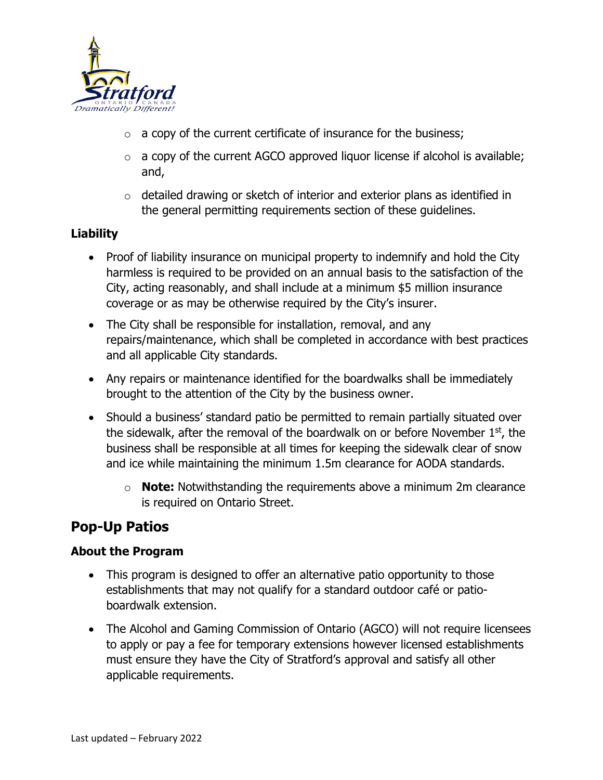

- $\circ$  a copy of the current certificate of insurance for the business;
- $\circ$  a copy of the current AGCO approved liquor license if alcohol is available; and,
- $\circ$  detailed drawing or sketch of interior and exterior plans as identified in the general permitting requirements section of these guidelines.

#### **Liability**

- Proof of liability insurance on municipal property to indemnify and hold the City harmless is required to be provided on an annual basis to the satisfaction of the City, acting reasonably, and shall include at a minimum \$5 million insurance coverage or as may be otherwise required by the City's insurer.
- The City shall be responsible for installation, removal, and any repairs/maintenance, which shall be completed in accordance with best practices and all applicable City standards.
- Any repairs or maintenance identified for the boardwalks shall be immediately brought to the attention of the City by the business owner.
- Should a business' standard patio be permitted to remain partially situated over the sidewalk, after the removal of the boardwalk on or before November  $1<sup>st</sup>$ , the business shall be responsible at all times for keeping the sidewalk clear of snow and ice while maintaining the minimum 1.5m clearance for AODA standards.
	- o **Note:** Notwithstanding the requirements above a minimum 2m clearance is required on Ontario Street.

# **Pop-Up Patios**

#### **About the Program**

- This program is designed to offer an alternative patio opportunity to those establishments that may not qualify for a standard outdoor café or patioboardwalk extension.
- The Alcohol and Gaming Commission of Ontario (AGCO) will not require licensees to apply or pay a fee for temporary extensions however licensed establishments must ensure they have the City of Stratford's approval and satisfy all other applicable requirements.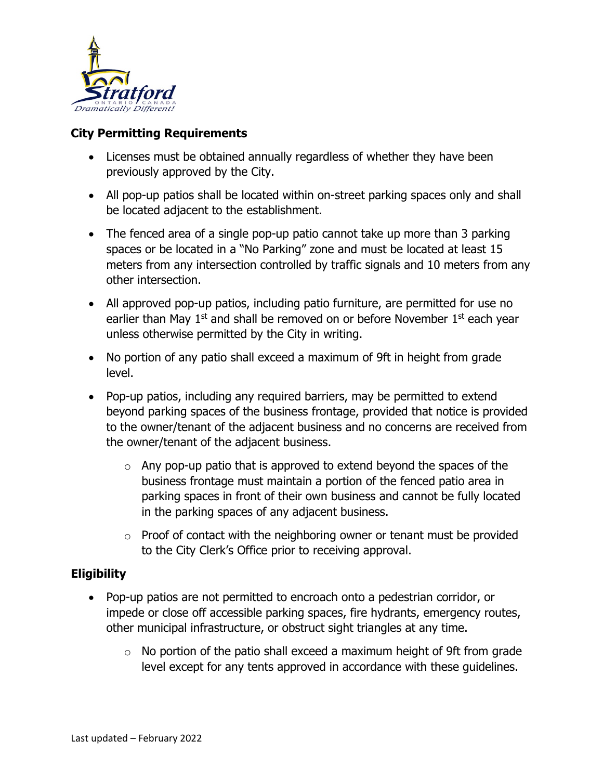

#### **City Permitting Requirements**

- Licenses must be obtained annually regardless of whether they have been previously approved by the City.
- All pop-up patios shall be located within on-street parking spaces only and shall be located adjacent to the establishment.
- The fenced area of a single pop-up patio cannot take up more than 3 parking spaces or be located in a "No Parking" zone and must be located at least 15 meters from any intersection controlled by traffic signals and 10 meters from any other intersection.
- All approved pop-up patios, including patio furniture, are permitted for use no earlier than May  $1<sup>st</sup>$  and shall be removed on or before November  $1<sup>st</sup>$  each year unless otherwise permitted by the City in writing.
- No portion of any patio shall exceed a maximum of 9ft in height from grade level.
- Pop-up patios, including any required barriers, may be permitted to extend beyond parking spaces of the business frontage, provided that notice is provided to the owner/tenant of the adjacent business and no concerns are received from the owner/tenant of the adjacent business.
	- $\circ$  Any pop-up patio that is approved to extend beyond the spaces of the business frontage must maintain a portion of the fenced patio area in parking spaces in front of their own business and cannot be fully located in the parking spaces of any adjacent business.
	- $\circ$  Proof of contact with the neighboring owner or tenant must be provided to the City Clerk's Office prior to receiving approval.

#### **Eligibility**

- Pop-up patios are not permitted to encroach onto a pedestrian corridor, or impede or close off accessible parking spaces, fire hydrants, emergency routes, other municipal infrastructure, or obstruct sight triangles at any time.
	- $\circ$  No portion of the patio shall exceed a maximum height of 9ft from grade level except for any tents approved in accordance with these guidelines.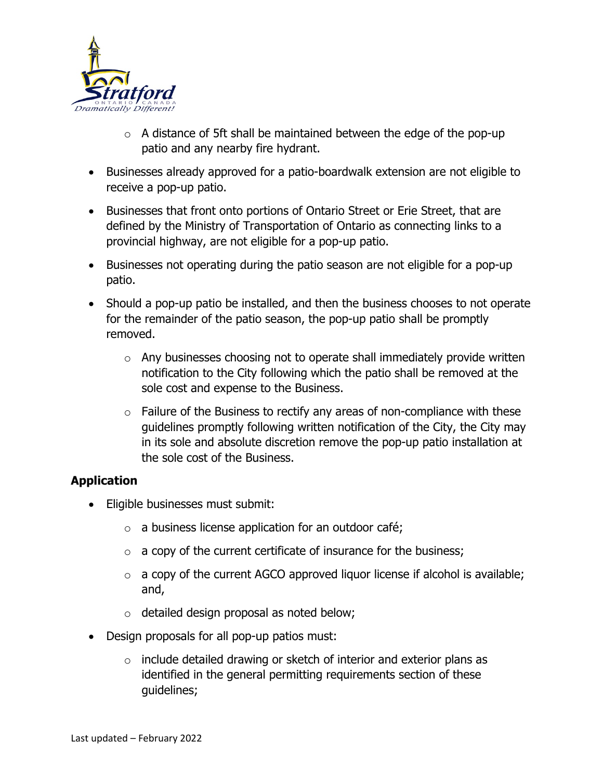

- $\circ$  A distance of 5ft shall be maintained between the edge of the pop-up patio and any nearby fire hydrant.
- Businesses already approved for a patio-boardwalk extension are not eligible to receive a pop-up patio.
- Businesses that front onto portions of Ontario Street or Erie Street, that are defined by the Ministry of Transportation of Ontario as connecting links to a provincial highway, are not eligible for a pop-up patio.
- Businesses not operating during the patio season are not eligible for a pop-up patio.
- Should a pop-up patio be installed, and then the business chooses to not operate for the remainder of the patio season, the pop-up patio shall be promptly removed.
	- o Any businesses choosing not to operate shall immediately provide written notification to the City following which the patio shall be removed at the sole cost and expense to the Business.
	- $\circ$  Failure of the Business to rectify any areas of non-compliance with these guidelines promptly following written notification of the City, the City may in its sole and absolute discretion remove the pop-up patio installation at the sole cost of the Business.

## **Application**

- Eligible businesses must submit:
	- $\circ$  a business license application for an outdoor café;
	- $\circ$  a copy of the current certificate of insurance for the business;
	- $\circ$  a copy of the current AGCO approved liquor license if alcohol is available; and,
	- o detailed design proposal as noted below;
- Design proposals for all pop-up patios must:
	- $\circ$  include detailed drawing or sketch of interior and exterior plans as identified in the general permitting requirements section of these guidelines;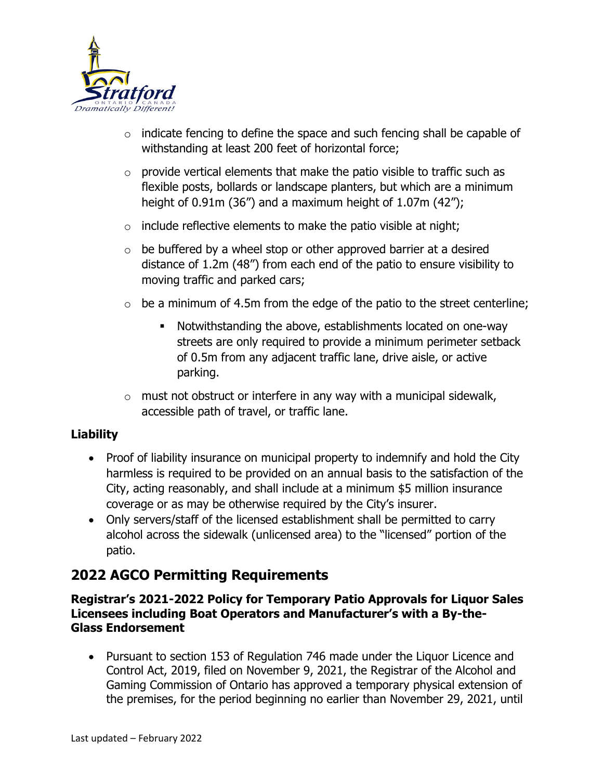

- $\circ$  indicate fencing to define the space and such fencing shall be capable of withstanding at least 200 feet of horizontal force;
- $\circ$  provide vertical elements that make the patio visible to traffic such as flexible posts, bollards or landscape planters, but which are a minimum height of 0.91m (36") and a maximum height of 1.07m (42");
- $\circ$  include reflective elements to make the patio visible at night;
- $\circ$  be buffered by a wheel stop or other approved barrier at a desired distance of 1.2m (48") from each end of the patio to ensure visibility to moving traffic and parked cars;
- $\circ$  be a minimum of 4.5m from the edge of the patio to the street centerline;
	- Notwithstanding the above, establishments located on one-way streets are only required to provide a minimum perimeter setback of 0.5m from any adjacent traffic lane, drive aisle, or active parking.
- $\circ$  must not obstruct or interfere in any way with a municipal sidewalk, accessible path of travel, or traffic lane.

#### **Liability**

- Proof of liability insurance on municipal property to indemnify and hold the City harmless is required to be provided on an annual basis to the satisfaction of the City, acting reasonably, and shall include at a minimum \$5 million insurance coverage or as may be otherwise required by the City's insurer.
- Only servers/staff of the licensed establishment shall be permitted to carry alcohol across the sidewalk (unlicensed area) to the "licensed" portion of the patio.

# **2022 AGCO Permitting Requirements**

**Registrar's 2021-2022 Policy for Temporary Patio Approvals for Liquor Sales Licensees including Boat Operators and Manufacturer's with a By-the-Glass Endorsement**

• Pursuant to section 153 of Regulation 746 made under the Liquor Licence and Control Act, 2019, filed on November 9, 2021, the Registrar of the Alcohol and Gaming Commission of Ontario has approved a temporary physical extension of the premises, for the period beginning no earlier than November 29, 2021, until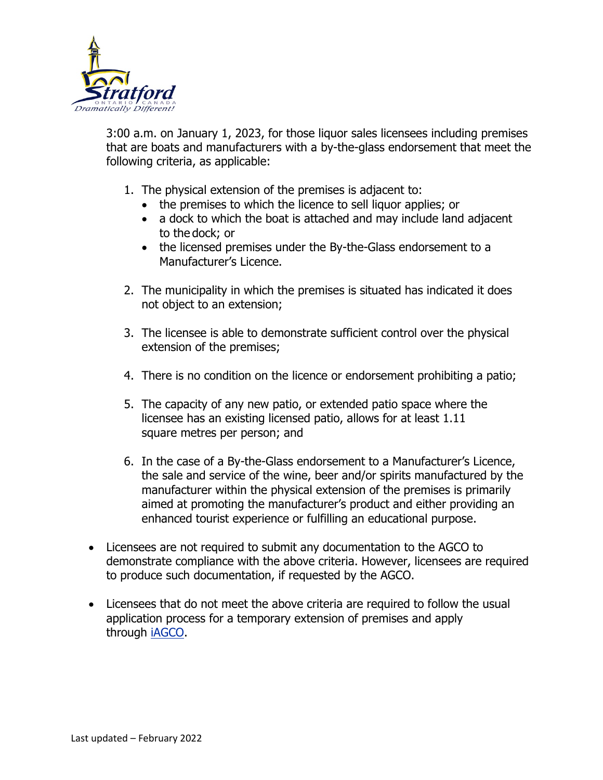

3:00 a.m. on January 1, 2023, for those liquor sales licensees including premises that are boats and manufacturers with a by-the-glass endorsement that meet the following criteria, as applicable:

- 1. The physical extension of the premises is adjacent to:
	- the premises to which the licence to sell liquor applies; or
	- a dock to which the boat is attached and may include land adjacent to the dock; or
	- the licensed premises under the By-the-Glass endorsement to a Manufacturer's Licence.
- 2. The municipality in which the premises is situated has indicated it does not object to an extension;
- 3. The licensee is able to demonstrate sufficient control over the physical extension of the premises;
- 4. There is no condition on the licence or endorsement prohibiting a patio;
- 5. The capacity of any new patio, or extended patio space where the licensee has an existing licensed patio, allows for at least 1.11 square metres per person; and
- 6. In the case of a By-the-Glass endorsement to a Manufacturer's Licence, the sale and service of the wine, beer and/or spirits manufactured by the manufacturer within the physical extension of the premises is primarily aimed at promoting the manufacturer's product and either providing an enhanced tourist experience or fulfilling an educational purpose.
- Licensees are not required to submit any documentation to the AGCO to demonstrate compliance with the above criteria. However, licensees are required to produce such documentation, if requested by the AGCO.
- Licensees that do not meet the above criteria are required to follow the usual application process for a temporary extension of premises and apply through [iAGCO.](https://www.iagco.agco.ca/prod/pub/en/Login.aspx)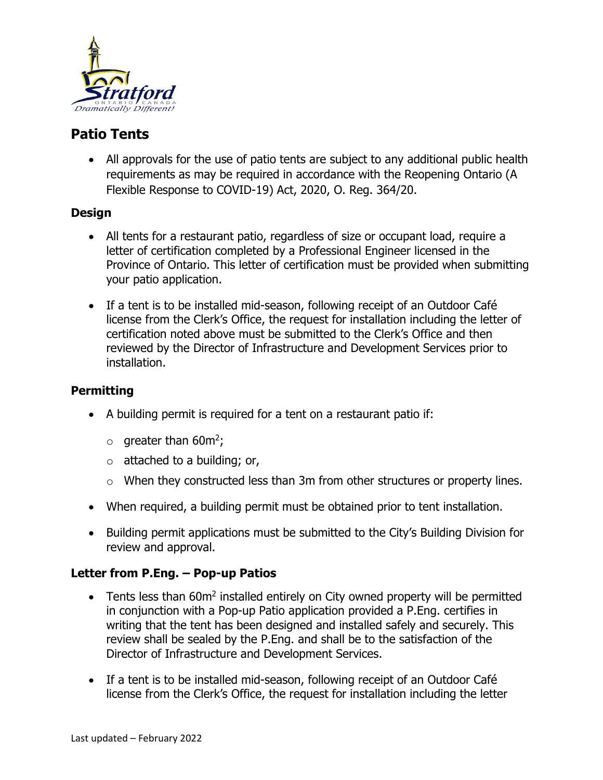

# **Patio Tents**

• All approvals for the use of patio tents are subject to any additional public health requirements as may be required in accordance with the Reopening Ontario (A Flexible Response to COVID-19) Act, 2020, O. Reg. 364/20.

#### **Design**

- All tents for a restaurant patio, regardless of size or occupant load, require a letter of certification completed by a Professional Engineer licensed in the Province of Ontario. This letter of certification must be provided when submitting your patio application.
- If a tent is to be installed mid-season, following receipt of an Outdoor Café license from the Clerk's Office, the request for installation including the letter of certification noted above must be submitted to the Clerk's Office and then reviewed by the Director of Infrastructure and Development Services prior to installation.

#### **Permitting**

- A building permit is required for a tent on a restaurant patio if:
	- $\circ$  greater than 60m<sup>2</sup>;
	- $\circ$  attached to a building; or,
	- o When they constructed less than 3m from other structures or property lines.
- When required, a building permit must be obtained prior to tent installation.
- Building permit applications must be submitted to the City's Building Division for review and approval.

## **Letter from P.Eng. – Pop-up Patios**

- Tents less than  $60m^2$  installed entirely on City owned property will be permitted in conjunction with a Pop-up Patio application provided a P.Eng. certifies in writing that the tent has been designed and installed safely and securely. This review shall be sealed by the P.Eng. and shall be to the satisfaction of the Director of Infrastructure and Development Services.
- If a tent is to be installed mid-season, following receipt of an Outdoor Café license from the Clerk's Office, the request for installation including the letter